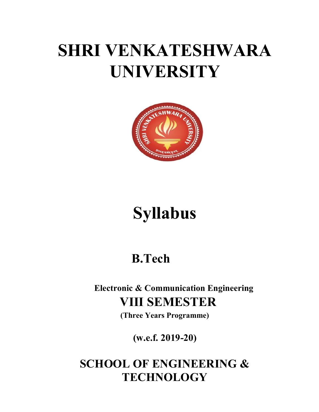# SHRI VENKATESHWARA UNIVERSITY



# Syllabus

## B.Tech

Electronic & Communication Engineering VIII SEMESTER

(Three Years Programme)

(w.e.f. 2019-20)

### SCHOOL OF ENGINEERING & **TECHNOLOGY**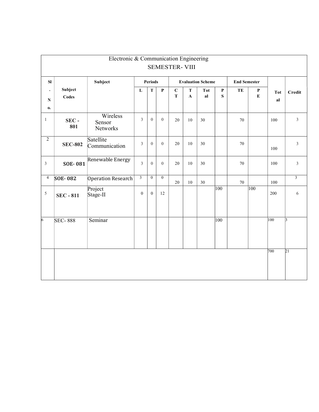|                              |                  | Electronic & Communication Engineering |                  |                  |                  |                            |                   |                          |                  |                     |                      |                  |                 |
|------------------------------|------------------|----------------------------------------|------------------|------------------|------------------|----------------------------|-------------------|--------------------------|------------------|---------------------|----------------------|------------------|-----------------|
|                              |                  |                                        |                  |                  |                  | <b>SEMESTER-VIII</b>       |                   |                          |                  |                     |                      |                  |                 |
| SI                           |                  | Subject                                |                  | <b>Periods</b>   |                  |                            |                   | <b>Evaluation Scheme</b> |                  | <b>End Semester</b> |                      |                  |                 |
| $\bullet$<br>${\bf N}$<br>0. | Subject<br>Codes |                                        | ${\bf L}$        | $\mathbf T$      | $\mathbf P$      | $\mathbf C$<br>$\mathbf T$ | T<br>$\mathbf{A}$ | <b>Tot</b><br>a          | $\mathbf P$<br>S | TE                  | ${\bf P}$<br>$\bf E$ | <b>Tot</b><br>al | Credit          |
| $\mathbf{1}$                 | $SEC -$<br>801   | Wireless<br>Sensor<br>Networks         | $\overline{3}$   | $\mathbf{0}$     | $\boldsymbol{0}$ | 20                         | 10                | 30                       |                  | 70                  |                      | 100              | $\mathfrak{Z}$  |
| $\sqrt{2}$                   | <b>SEC-802</b>   | Satellite<br>Communication             | $\mathfrak{Z}$   | $\boldsymbol{0}$ | $\overline{0}$   | 20                         | 10                | 30                       |                  | 70                  |                      | 100              | $\mathfrak{Z}$  |
| $\mathfrak{Z}$               | <b>SOE-081</b>   | Renewable Energy                       | $\overline{3}$   | $\overline{0}$   | $\theta$         | 20                         | 10                | 30                       |                  | 70                  |                      | 100              | $\mathfrak{Z}$  |
| $\overline{4}$               | <b>SOE-082</b>   | Operation Research                     | $\mathbf{3}$     | $\overline{0}$   | $\overline{0}$   | 20                         | 10                | 30                       |                  | 70                  |                      | 100              | $\overline{3}$  |
| $\sqrt{5}$                   | <b>SEC - 811</b> | Project<br>Stage-II                    | $\boldsymbol{0}$ | $\mathbf{0}$     | 12               |                            |                   |                          | 100              |                     | 100                  | 200              | $6\,$           |
| 6                            | <b>SEC-888</b>   | Seminar                                |                  |                  |                  |                            |                   |                          | 100              |                     |                      | 100              | $\mathbf{3}$    |
|                              |                  |                                        |                  |                  |                  |                            |                   |                          |                  |                     |                      | 700              | $\overline{21}$ |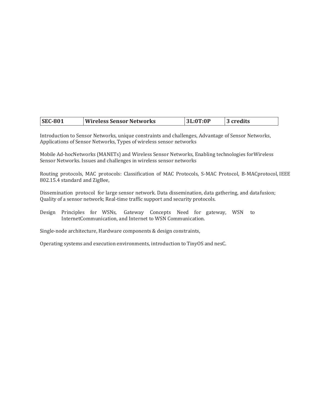| <b>SEC-801</b> | <b>Wireless Sensor Networks</b> | 3L:0T:0F | credits |
|----------------|---------------------------------|----------|---------|
|----------------|---------------------------------|----------|---------|

Introduction to Sensor Networks, unique constraints and challenges, Advantage of Sensor Networks, Applications of Sensor Networks, Types of wireless sensor networks

Mobile Ad-hocNetworks (MANETs) and Wireless Sensor Networks, Enabling technologies for Wireless Sensor Networks. Issues and challenges in wireless sensor networks

Routing protocols, MAC protocols: Classification of MAC Protocols, S-MAC Protocol, B-MAC protocol, IEEE 802.15.4 standard and ZigBee,

Dissemination protocol for large sensor network. Data dissemination, data gathering, and datafusion; Quality of a sensor network; Real-time traffic support and security protocols.

Design Principles for WSNs, Gateway Concepts Need for gateway, WSN to Internet Communication, and Internet to WSN Communication.

Single-node architecture, Hardware components & design constraints,

Operating systems and execution environments, introduction to TinyOS and nesC.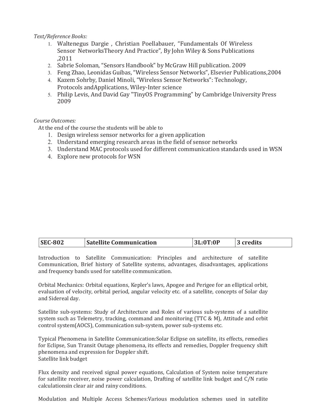### Text/Reference Books:

- 1. Waltenegus Dargie , Christian Poellabauer, "Fundamentals Of Wireless Sensor Networks Theory And Practice", By John Wiley & Sons Publications ,2011
- 2. Sabrie Soloman, "Sensors Handbook" by McGraw Hill publication. 2009
- 3. Feng Zhao, Leonidas Guibas, "Wireless Sensor Networks", Elsevier Publications,2004
- 4. Kazem Sohrby, Daniel Minoli, "Wireless Sensor Networks": Technology, Protocols and Applications, Wiley-Inter science
- 5. Philip Levis, And David Gay "TinyOS Programming" by Cambridge University Press 2009

### Course Outcomes:

At the end of the course the students will be able to

- 1. Design wireless sensor networks for a given application
- 2. Understand emerging research areas in the field of sensor networks
- 3. Understand MAC protocols used for different communication standards used in WSN
- 4. Explore new protocols for WSN

|  | <b>SEC-802</b> | <b>Satellite Communication</b> | 3L:0T:0P | 3 credits |
|--|----------------|--------------------------------|----------|-----------|
|--|----------------|--------------------------------|----------|-----------|

Introduction to Satellite Communication: Principles and architecture of satellite Communication, Brief history of Satellite systems, advantages, disadvantages, applications and frequency bands used for satellite communication.

Orbital Mechanics: Orbital equations, Kepler's laws, Apogee and Perigee for an elliptical orbit, evaluation of velocity, orbital period, angular velocity etc. of a satellite, concepts of Solar day and Sidereal day.

Satellite sub-systems: Study of Architecture and Roles of various sub-systems of a satellite system such as Telemetry, tracking, command and monitoring (TTC & M), Attitude and orbit control system (AOCS), Communication sub-system, power sub-systems etc.

Typical Phenomena in Satellite Communication:Solar Eclipse on satellite, its effects, remedies for Eclipse, Sun Transit Outage phenomena, its effects and remedies, Doppler frequency shift phenomena and expression for Doppler shift. Satellite link budget

Flux density and received signal power equations, Calculation of System noise temperature for satellite receiver, noise power calculation, Drafting of satellite link budget and C/N ratio calculations in clear air and rainy conditions.

Modulation and Multiple Access Schemes:Various modulation schemes used in satellite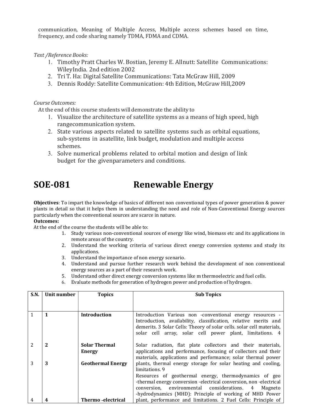communication, Meaning of Multiple Access, Multiple access schemes based on time, frequency, and code sharing namely TDMA, FDMA and CDMA.

Text /Reference Books:

- 1. Timothy Pratt Charles W. Bostian, Jeremy E. Allnutt: Satellite Communications: WileyIndia. 2nd edition 2002
- 2. Tri T. Ha: Digital Satellite Communications: Tata McGraw Hill, 2009
- 3. Dennis Roddy: Satellite Communication: 4th Edition, McGraw Hill,2009

Course Outcomes:

At the end of this course students will demonstrate the ability to

- 1. Visualize the architecture of satellite systems as a means of high speed, high range communication system.
- 2. State various aspects related to satellite systems such as orbital equations, sub-systems in a satellite, link budget, modulation and multiple access schemes.
- 3. Solve numerical problems related to orbital motion and design of link budget for the given parameters and conditions.

### SOE-081 Renewable Energy

Objectives: To impart the knowledge of basics of different non conventional types of power generation & power plants in detail so that it helps them in understanding the need and role of Non-Conventional Energy sources particularly when the conventional sources are scarce in nature.

### Outcomes:

At the end of the course the students will be able to:

- 1. Study various non-conventional sources of energy like wind, biomass etc and its applications in remote areas of the country.
- 2. Understand the working criteria of various direct energy conversion systems and study its applications.
- 3. Understand the importance of non energy scenario.
- 4. Understand and pursue further research work behind the development of non conventional energy sources as a part of their research work.
- 5. Understand other direct energy conversion systems like m thermoelectric and fuel cells.
- 6. Evaluate methods for generation of hydrogen power and production of hydrogen.

| S.N. | Unit number | <b>Topics</b>                         | <b>Sub Topics</b>                                                                                                                                                                                                                                                 |
|------|-------------|---------------------------------------|-------------------------------------------------------------------------------------------------------------------------------------------------------------------------------------------------------------------------------------------------------------------|
|      |             |                                       |                                                                                                                                                                                                                                                                   |
|      | 1           | <b>Introduction</b>                   | Introduction Various non -conventional energy resources -<br>Introduction, availability, classification, relative merits and<br>demerits. 3 Solar Cells: Theory of solar cells. solar cell materials,<br>solar cell array, solar cell power plant, limitations. 4 |
|      | 2           | <b>Solar Thermal</b><br><b>Energy</b> | Solar radiation, flat plate collectors and their materials,<br>applications and performance, focusing of collectors and their<br>materials, applications and performance; solar thermal power                                                                     |
| 3    | 3           | <b>Geothermal Energy</b>              | plants, thermal energy storage for solar heating and cooling,<br>limitations 9                                                                                                                                                                                    |
|      |             |                                       | Resources of geothermal energy, thermodynamics of geo<br>-thermal energy conversion -electrical conversion, non-electrical<br>conversion, environmental considerations. 4<br>Magneto<br>-hydrodynamics (MHD): Principle of working of MHD Power                   |
|      |             | Thermo - electrical                   | plant, performance and limitations. 2 Fuel Cells: Principle of                                                                                                                                                                                                    |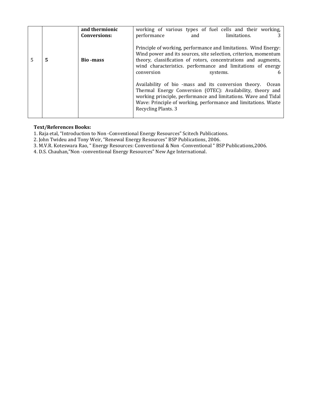|   |   | and thermionic<br><b>Conversions:</b> | working of various types of fuel cells and their working,<br>performance<br>limitations.<br>and                                                                                                                                                                                               |
|---|---|---------------------------------------|-----------------------------------------------------------------------------------------------------------------------------------------------------------------------------------------------------------------------------------------------------------------------------------------------|
| 5 | 5 | <b>Bio-mass</b>                       | Principle of working, performance and limitations. Wind Energy:<br>Wind power and its sources, site selection, criterion, momentum<br>theory, classification of rotors, concentrations and augments,<br>wind characteristics. performance and limitations of energy<br>conversion<br>systems. |
|   |   |                                       | Availability of bio -mass and its conversion theory.<br>Ocean<br>Thermal Energy Conversion (OTEC): Availability, theory and<br>working principle, performance and limitations. Wave and Tidal<br>Wave: Principle of working, performance and limitations. Waste<br>Recycling Plants. 3        |

#### Text/References Books:

1. Raja etal, "Introduction to Non ‐Conventional Energy Resources" Scitech Publications.

2. John Twideu and Tony Weir, "Renewal Energy Resources" BSP Publications, 2006.

3. M.V.R. Koteswara Rao, " Energy Resources: Conventional & Non ‐Conventional " BSP Publications,2006.

4. D.S. Chauhan,"Non ‐conventional Energy Resources" New Age International.